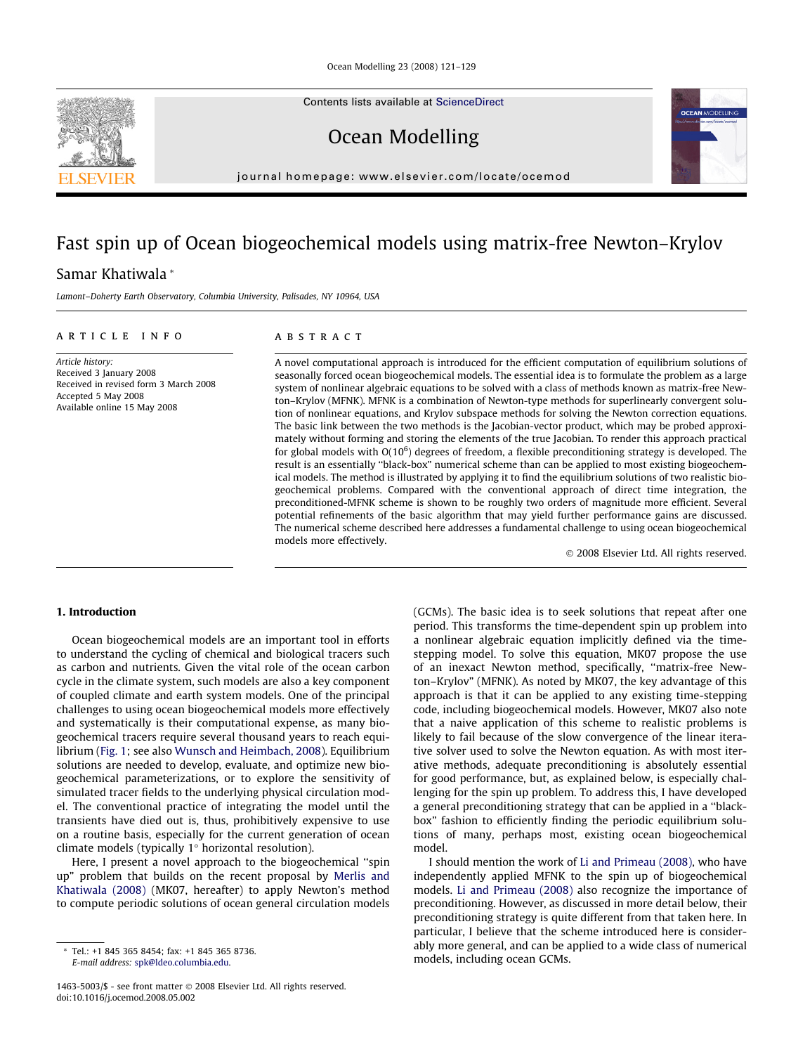Contents lists available at [ScienceDirect](http://www.sciencedirect.com/science/journal/14635003)

Ocean Modelling

journal homepage: [www.elsevier.com/locate/ocemod](http://www.elsevier.com/locate/ocemod)

# Fast spin up of Ocean biogeochemical models using matrix-free Newton–Krylov

## Samar Khatiwala \*

Lamont–Doherty Earth Observatory, Columbia University, Palisades, NY 10964, USA

## article info

Article history: Received 3 January 2008 Received in revised form 3 March 2008 Accepted 5 May 2008 Available online 15 May 2008

## ABSTRACT

A novel computational approach is introduced for the efficient computation of equilibrium solutions of seasonally forced ocean biogeochemical models. The essential idea is to formulate the problem as a large system of nonlinear algebraic equations to be solved with a class of methods known as matrix-free Newton–Krylov (MFNK). MFNK is a combination of Newton-type methods for superlinearly convergent solution of nonlinear equations, and Krylov subspace methods for solving the Newton correction equations. The basic link between the two methods is the Jacobian-vector product, which may be probed approximately without forming and storing the elements of the true Jacobian. To render this approach practical for global models with  $O(10^6)$  degrees of freedom, a flexible preconditioning strategy is developed. The result is an essentially ''black-box" numerical scheme than can be applied to most existing biogeochemical models. The method is illustrated by applying it to find the equilibrium solutions of two realistic biogeochemical problems. Compared with the conventional approach of direct time integration, the preconditioned-MFNK scheme is shown to be roughly two orders of magnitude more efficient. Several potential refinements of the basic algorithm that may yield further performance gains are discussed. The numerical scheme described here addresses a fundamental challenge to using ocean biogeochemical models more effectively.

- 2008 Elsevier Ltd. All rights reserved.

## 1. Introduction

Ocean biogeochemical models are an important tool in efforts to understand the cycling of chemical and biological tracers such as carbon and nutrients. Given the vital role of the ocean carbon cycle in the climate system, such models are also a key component of coupled climate and earth system models. One of the principal challenges to using ocean biogeochemical models more effectively and systematically is their computational expense, as many biogeochemical tracers require several thousand years to reach equilibrium ([Fig. 1](#page-1-0); see also [Wunsch and Heimbach, 2008\)](#page-8-0). Equilibrium solutions are needed to develop, evaluate, and optimize new biogeochemical parameterizations, or to explore the sensitivity of simulated tracer fields to the underlying physical circulation model. The conventional practice of integrating the model until the transients have died out is, thus, prohibitively expensive to use on a routine basis, especially for the current generation of ocean climate models (typically  $1^\circ$  horizontal resolution).

Here, I present a novel approach to the biogeochemical ''spin up" problem that builds on the recent proposal by [Merlis and](#page-8-0) [Khatiwala \(2008\)](#page-8-0) (MK07, hereafter) to apply Newton's method to compute periodic solutions of ocean general circulation models (GCMs). The basic idea is to seek solutions that repeat after one period. This transforms the time-dependent spin up problem into a nonlinear algebraic equation implicitly defined via the timestepping model. To solve this equation, MK07 propose the use of an inexact Newton method, specifically, ''matrix-free Newton–Krylov" (MFNK). As noted by MK07, the key advantage of this approach is that it can be applied to any existing time-stepping code, including biogeochemical models. However, MK07 also note that a naive application of this scheme to realistic problems is likely to fail because of the slow convergence of the linear iterative solver used to solve the Newton equation. As with most iterative methods, adequate preconditioning is absolutely essential for good performance, but, as explained below, is especially challenging for the spin up problem. To address this, I have developed a general preconditioning strategy that can be applied in a ''blackbox" fashion to efficiently finding the periodic equilibrium solutions of many, perhaps most, existing ocean biogeochemical model.

I should mention the work of [Li and Primeau \(2008\)](#page-8-0), who have independently applied MFNK to the spin up of biogeochemical models. [Li and Primeau \(2008\)](#page-8-0) also recognize the importance of preconditioning. However, as discussed in more detail below, their preconditioning strategy is quite different from that taken here. In particular, I believe that the scheme introduced here is considerably more general, and can be applied to a wide class of numerical models, including ocean GCMs.





<sup>\*</sup> Tel.: +1 845 365 8454; fax: +1 845 365 8736. E-mail address: [spk@ldeo.columbia.edu](mailto:spk@ldeo.columbia.edu).

<sup>1463-5003/\$ -</sup> see front matter @ 2008 Elsevier Ltd. All rights reserved. doi:10.1016/j.ocemod.2008.05.002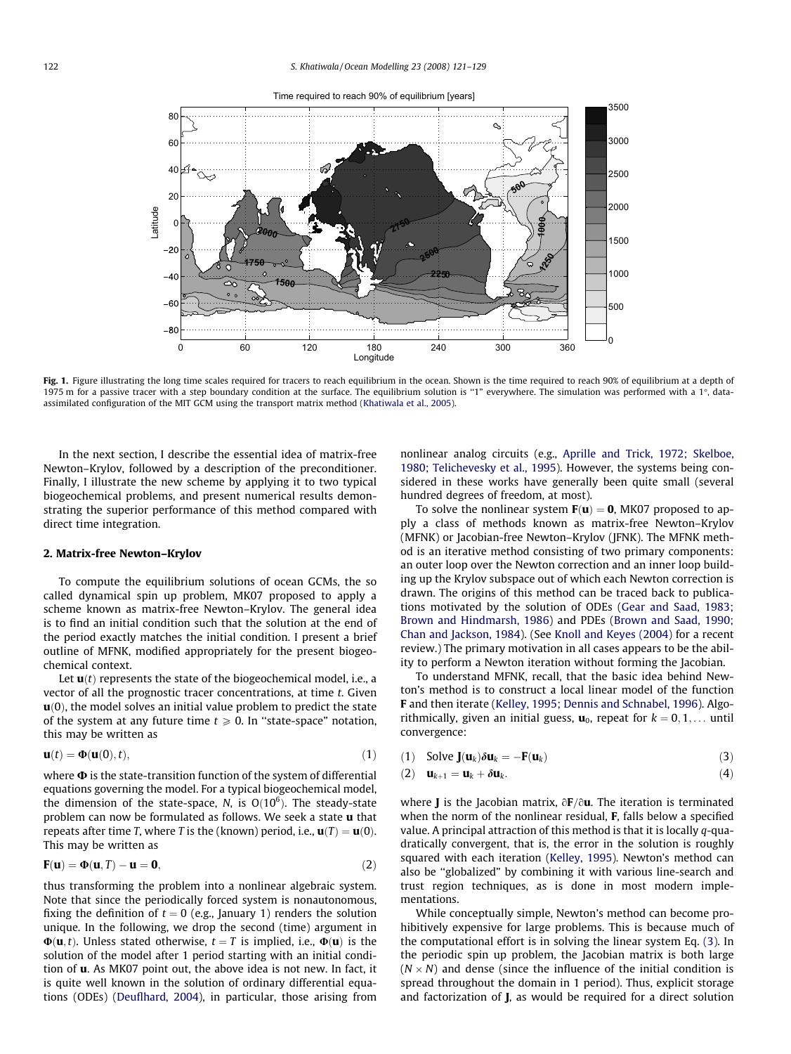<span id="page-1-0"></span>

Fig. 1. Figure illustrating the long time scales required for tracers to reach equilibrium in the ocean. Shown is the time required to reach 90% of equilibrium at a depth of 1975 m for a passive tracer with a step boundary condition at the surface. The equilibrium solution is "1" everywhere. The simulation was performed with a 1°, dataassimilated configuration of the MIT GCM using the transport matrix method ([Khatiwala et al., 2005\)](#page-7-0).

In the next section, I describe the essential idea of matrix-free Newton–Krylov, followed by a description of the preconditioner. Finally, I illustrate the new scheme by applying it to two typical biogeochemical problems, and present numerical results demonstrating the superior performance of this method compared with direct time integration.

#### 2. Matrix-free Newton–Krylov

To compute the equilibrium solutions of ocean GCMs, the so called dynamical spin up problem, MK07 proposed to apply a scheme known as matrix-free Newton–Krylov. The general idea is to find an initial condition such that the solution at the end of the period exactly matches the initial condition. I present a brief outline of MFNK, modified appropriately for the present biogeochemical context.

Let  $\mathbf{u}(t)$  represents the state of the biogeochemical model, i.e., a vector of all the prognostic tracer concentrations, at time t. Given  $\mathbf{u}(0)$ , the model solves an initial value problem to predict the state of the system at any future time  $t \ge 0$ . In "state-space" notation, this may be written as

$$
\mathbf{u}(t) = \mathbf{\Phi}(\mathbf{u}(0), t),\tag{1}
$$

where  $\Phi$  is the state-transition function of the system of differential equations governing the model. For a typical biogeochemical model, the dimension of the state-space, N, is  $O(10^6)$ . The steady-state problem can now be formulated as follows. We seek a state u that repeats after time T, where T is the (known) period, i.e.,  $\mathbf{u}(T) = \mathbf{u}(0)$ . This may be written as

$$
\mathbf{F}(\mathbf{u}) = \mathbf{\Phi}(\mathbf{u}, T) - \mathbf{u} = \mathbf{0},\tag{2}
$$

thus transforming the problem into a nonlinear algebraic system. Note that since the periodically forced system is nonautonomous, fixing the definition of  $t = 0$  (e.g., January 1) renders the solution unique. In the following, we drop the second (time) argument in  $\Phi(\mathbf{u},t)$ . Unless stated otherwise,  $t = T$  is implied, i.e.,  $\Phi(\mathbf{u})$  is the solution of the model after 1 period starting with an initial condition of u. As MK07 point out, the above idea is not new. In fact, it is quite well known in the solution of ordinary differential equations (ODEs) [\(Deuflhard, 2004\)](#page-7-0), in particular, those arising from nonlinear analog circuits (e.g., [Aprille and Trick, 1972; Skelboe,](#page-7-0) [1980; Telichevesky et al., 1995\)](#page-7-0). However, the systems being considered in these works have generally been quite small (several hundred degrees of freedom, at most).

To solve the nonlinear system  $F(u) = 0$ , MK07 proposed to apply a class of methods known as matrix-free Newton–Krylov (MFNK) or Jacobian-free Newton–Krylov (JFNK). The MFNK method is an iterative method consisting of two primary components: an outer loop over the Newton correction and an inner loop building up the Krylov subspace out of which each Newton correction is drawn. The origins of this method can be traced back to publications motivated by the solution of ODEs [\(Gear and Saad, 1983;](#page-7-0) [Brown and Hindmarsh, 1986\)](#page-7-0) and PDEs ([Brown and Saad, 1990;](#page-7-0) [Chan and Jackson, 1984\)](#page-7-0). (See [Knoll and Keyes \(2004\)](#page-7-0) for a recent review.) The primary motivation in all cases appears to be the ability to perform a Newton iteration without forming the Jacobian.

To understand MFNK, recall, that the basic idea behind Newton's method is to construct a local linear model of the function F and then iterate [\(Kelley, 1995; Dennis and Schnabel, 1996\)](#page-7-0). Algorithmically, given an initial guess,  $\mathbf{u}_0$ , repeat for  $k = 0, 1, \ldots$  until convergence:

$$
(1) Solve J(uk)\deltauk = -F(uk)
$$
\n(3)

$$
(2) \quad \mathbf{u}_{k+1} = \mathbf{u}_k + \delta \mathbf{u}_k. \tag{4}
$$

where **J** is the Jacobian matrix,  $\partial \mathbf{F}/\partial \mathbf{u}$ . The iteration is terminated when the norm of the nonlinear residual, F, falls below a specified value. A principal attraction of this method is that it is locally  $q$ -quadratically convergent, that is, the error in the solution is roughly squared with each iteration [\(Kelley, 1995](#page-7-0)). Newton's method can also be ''globalized" by combining it with various line-search and trust region techniques, as is done in most modern implementations.

While conceptually simple, Newton's method can become prohibitively expensive for large problems. This is because much of the computational effort is in solving the linear system Eq. (3). In the periodic spin up problem, the Jacobian matrix is both large  $(N \times N)$  and dense (since the influence of the initial condition is spread throughout the domain in 1 period). Thus, explicit storage and factorization of J, as would be required for a direct solution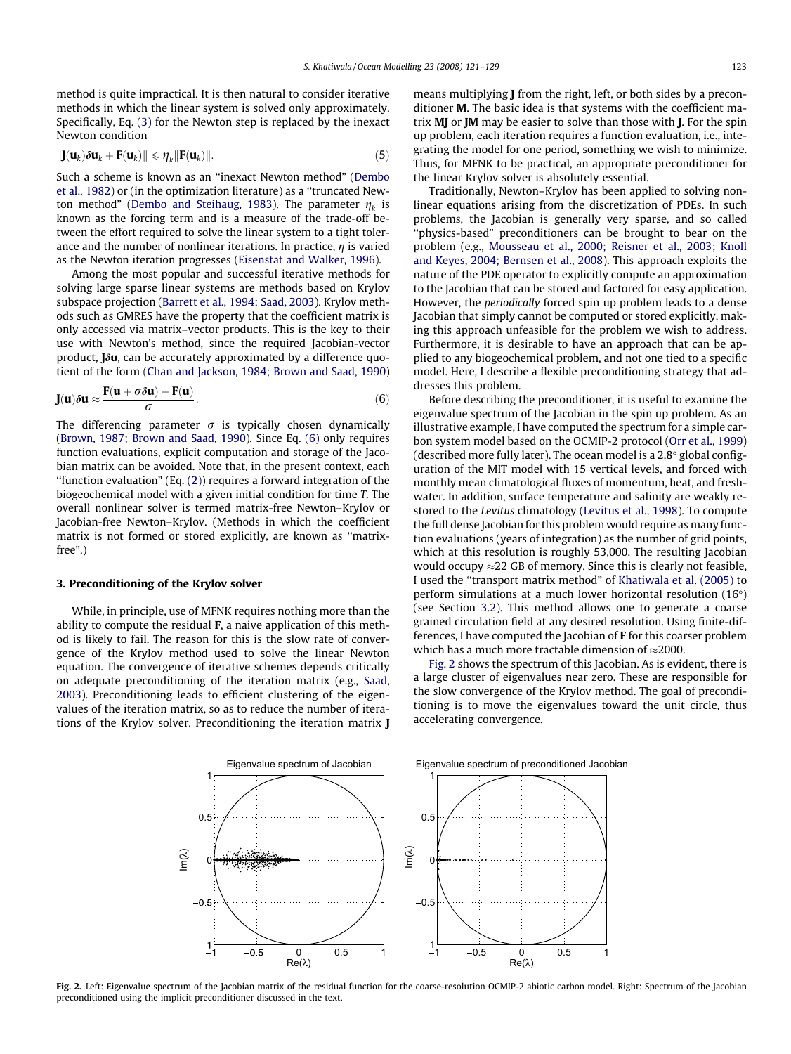<span id="page-2-0"></span>method is quite impractical. It is then natural to consider iterative methods in which the linear system is solved only approximately. Specifically, Eq. [\(3\)](#page-1-0) for the Newton step is replaced by the inexact Newton condition

$$
\|\mathbf{J}(\mathbf{u}_k)\delta\mathbf{u}_k + \mathbf{F}(\mathbf{u}_k)\| \leq \eta_k \|\mathbf{F}(\mathbf{u}_k)\|.
$$
 (5)

Such a scheme is known as an ''inexact Newton method" ([Dembo](#page-7-0) [et al., 1982](#page-7-0)) or (in the optimization literature) as a ''truncated New-ton method" ([Dembo and Steihaug, 1983](#page-7-0)). The parameter  $\eta_k$  is known as the forcing term and is a measure of the trade-off between the effort required to solve the linear system to a tight tolerance and the number of nonlinear iterations. In practice,  $\eta$  is varied as the Newton iteration progresses ([Eisenstat and Walker, 1996\)](#page-7-0).

Among the most popular and successful iterative methods for solving large sparse linear systems are methods based on Krylov subspace projection [\(Barrett et al., 1994; Saad, 2003\)](#page-7-0). Krylov methods such as GMRES have the property that the coefficient matrix is only accessed via matrix–vector products. This is the key to their use with Newton's method, since the required Jacobian-vector product,  $J\delta u$ , can be accurately approximated by a difference quotient of the form ([Chan and Jackson, 1984; Brown and Saad, 1990\)](#page-7-0)

$$
\mathbf{J}(\mathbf{u})\delta\mathbf{u} \approx \frac{\mathbf{F}(\mathbf{u} + \sigma\delta\mathbf{u}) - \mathbf{F}(\mathbf{u})}{\sigma}.
$$
 (6)

The differencing parameter  $\sigma$  is typically chosen dynamically ([Brown, 1987; Brown and Saad, 1990](#page-7-0)). Since Eq. (6) only requires function evaluations, explicit computation and storage of the Jacobian matrix can be avoided. Note that, in the present context, each "function evaluation" (Eq.  $(2)$ ) requires a forward integration of the biogeochemical model with a given initial condition for time T. The overall nonlinear solver is termed matrix-free Newton–Krylov or Jacobian-free Newton–Krylov. (Methods in which the coefficient matrix is not formed or stored explicitly, are known as ''matrixfree".)

#### 3. Preconditioning of the Krylov solver

While, in principle, use of MFNK requires nothing more than the ability to compute the residual F, a naive application of this method is likely to fail. The reason for this is the slow rate of convergence of the Krylov method used to solve the linear Newton equation. The convergence of iterative schemes depends critically on adequate preconditioning of the iteration matrix (e.g., [Saad,](#page-8-0) [2003](#page-8-0)). Preconditioning leads to efficient clustering of the eigenvalues of the iteration matrix, so as to reduce the number of iterations of the Krylov solver. Preconditioning the iteration matrix J means multiplying J from the right, left, or both sides by a preconditioner M. The basic idea is that systems with the coefficient matrix **MI** or **IM** may be easier to solve than those with **I**. For the spin up problem, each iteration requires a function evaluation, i.e., integrating the model for one period, something we wish to minimize. Thus, for MFNK to be practical, an appropriate preconditioner for the linear Krylov solver is absolutely essential.

Traditionally, Newton–Krylov has been applied to solving nonlinear equations arising from the discretization of PDEs. In such problems, the Jacobian is generally very sparse, and so called ''physics-based" preconditioners can be brought to bear on the problem (e.g., [Mousseau et al., 2000; Reisner et al., 2003; Knoll](#page-8-0) [and Keyes, 2004; Bernsen et al., 2008](#page-8-0)). This approach exploits the nature of the PDE operator to explicitly compute an approximation to the Jacobian that can be stored and factored for easy application. However, the periodically forced spin up problem leads to a dense Jacobian that simply cannot be computed or stored explicitly, making this approach unfeasible for the problem we wish to address. Furthermore, it is desirable to have an approach that can be applied to any biogeochemical problem, and not one tied to a specific model. Here, I describe a flexible preconditioning strategy that addresses this problem.

Before describing the preconditioner, it is useful to examine the eigenvalue spectrum of the Jacobian in the spin up problem. As an illustrative example, I have computed the spectrum for a simple carbon system model based on the OCMIP-2 protocol [\(Orr et al., 1999\)](#page-8-0) (described more fully later). The ocean model is a  $2.8^\circ$  global configuration of the MIT model with 15 vertical levels, and forced with monthly mean climatological fluxes of momentum, heat, and freshwater. In addition, surface temperature and salinity are weakly restored to the Levitus climatology ([Levitus et al., 1998\)](#page-8-0). To compute the full dense Jacobian for this problem would require as many function evaluations (years of integration) as the number of grid points, which at this resolution is roughly 53,000. The resulting Jacobian would occupy  $\approx$  22 GB of memory. Since this is clearly not feasible, I used the ''transport matrix method" of [Khatiwala et al. \(2005\)](#page-7-0) to perform simulations at a much lower horizontal resolution  $(16<sup>°</sup>)$ (see Section [3.2\)](#page-4-0). This method allows one to generate a coarse grained circulation field at any desired resolution. Using finite-differences, I have computed the Jacobian of F for this coarser problem which has a much more tractable dimension of  $\approx$ 2000.

Fig. 2 shows the spectrum of this Jacobian. As is evident, there is a large cluster of eigenvalues near zero. These are responsible for the slow convergence of the Krylov method. The goal of preconditioning is to move the eigenvalues toward the unit circle, thus accelerating convergence.



Fig. 2. Left: Eigenvalue spectrum of the Jacobian matrix of the residual function for the coarse-resolution OCMIP-2 abiotic carbon model. Right: Spectrum of the Jacobian preconditioned using the implicit preconditioner discussed in the text.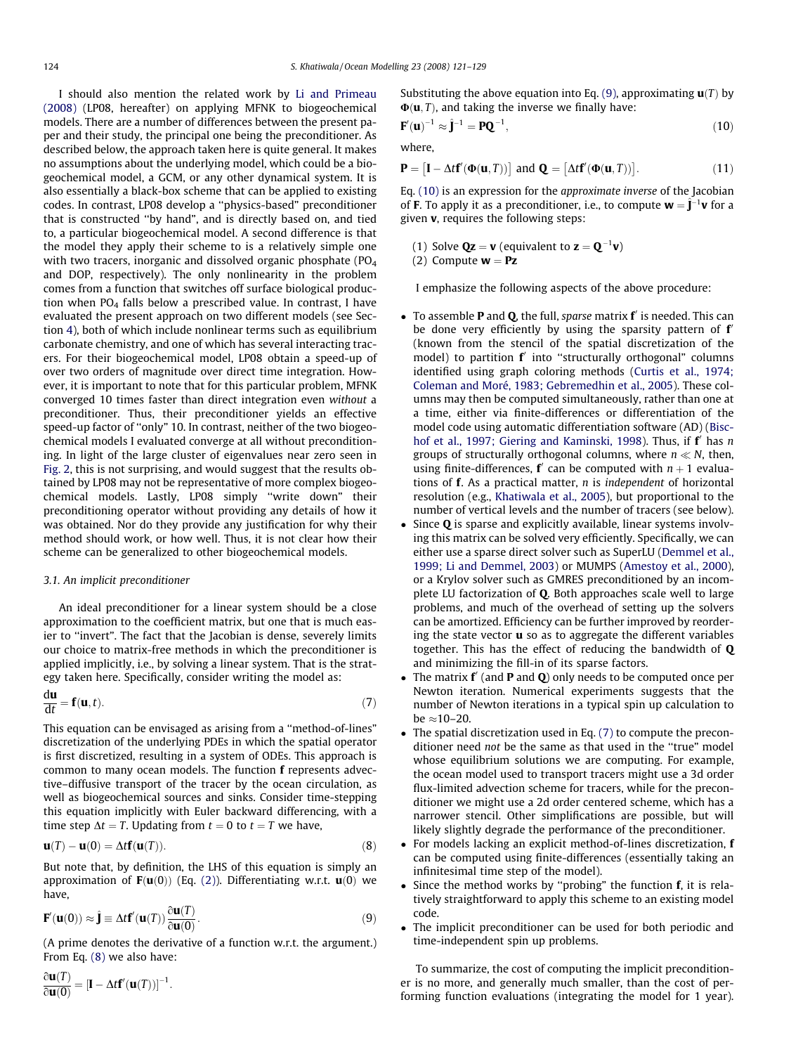<span id="page-3-0"></span>I should also mention the related work by [Li and Primeau](#page-8-0) [\(2008\)](#page-8-0) (LP08, hereafter) on applying MFNK to biogeochemical models. There are a number of differences between the present paper and their study, the principal one being the preconditioner. As described below, the approach taken here is quite general. It makes no assumptions about the underlying model, which could be a biogeochemical model, a GCM, or any other dynamical system. It is also essentially a black-box scheme that can be applied to existing codes. In contrast, LP08 develop a ''physics-based" preconditioner that is constructed ''by hand", and is directly based on, and tied to, a particular biogeochemical model. A second difference is that the model they apply their scheme to is a relatively simple one with two tracers, inorganic and dissolved organic phosphate (PO<sub>4</sub> and DOP, respectively). The only nonlinearity in the problem comes from a function that switches off surface biological production when  $PO_4$  falls below a prescribed value. In contrast, I have evaluated the present approach on two different models (see Section [4\)](#page-4-0), both of which include nonlinear terms such as equilibrium carbonate chemistry, and one of which has several interacting tracers. For their biogeochemical model, LP08 obtain a speed-up of over two orders of magnitude over direct time integration. However, it is important to note that for this particular problem, MFNK converged 10 times faster than direct integration even without a preconditioner. Thus, their preconditioner yields an effective speed-up factor of ''only" 10. In contrast, neither of the two biogeochemical models I evaluated converge at all without preconditioning. In light of the large cluster of eigenvalues near zero seen in [Fig. 2,](#page-2-0) this is not surprising, and would suggest that the results obtained by LP08 may not be representative of more complex biogeochemical models. Lastly, LP08 simply ''write down" their preconditioning operator without providing any details of how it was obtained. Nor do they provide any justification for why their method should work, or how well. Thus, it is not clear how their scheme can be generalized to other biogeochemical models.

### 3.1. An implicit preconditioner

An ideal preconditioner for a linear system should be a close approximation to the coefficient matrix, but one that is much easier to ''invert". The fact that the Jacobian is dense, severely limits our choice to matrix-free methods in which the preconditioner is applied implicitly, i.e., by solving a linear system. That is the strategy taken here. Specifically, consider writing the model as:

$$
\frac{\mathrm{d}\mathbf{u}}{\mathrm{d}t} = \mathbf{f}(\mathbf{u}, t). \tag{7}
$$

This equation can be envisaged as arising from a ''method-of-lines" discretization of the underlying PDEs in which the spatial operator is first discretized, resulting in a system of ODEs. This approach is common to many ocean models. The function f represents advective–diffusive transport of the tracer by the ocean circulation, as well as biogeochemical sources and sinks. Consider time-stepping this equation implicitly with Euler backward differencing, with a time step  $\Delta t = T$ . Updating from  $t = 0$  to  $t = T$  we have,

$$
\mathbf{u}(T) - \mathbf{u}(0) = \Delta t \mathbf{f}(\mathbf{u}(T)).
$$
\n(8)

But note that, by definition, the LHS of this equation is simply an approximation of  $\mathbf{F}(\mathbf{u}(0))$  (Eq. [\(2\)](#page-1-0)). Differentiating w.r.t.  $\mathbf{u}(0)$  we have,

$$
\mathbf{F}'(\mathbf{u}(0)) \approx \hat{\mathbf{j}} \equiv \Delta t \mathbf{f}'(\mathbf{u}(T)) \frac{\partial \mathbf{u}(T)}{\partial \mathbf{u}(0)}.
$$
 (9)

(A prime denotes the derivative of a function w.r.t. the argument.) From Eq. (8) we also have:

$$
\frac{\partial \mathbf{u}(T)}{\partial \mathbf{u}(0)} = [\mathbf{I} - \Delta t \mathbf{f}'(\mathbf{u}(T))]^{-1}.
$$

Substituting the above equation into Eq. (9), approximating 
$$
\mathbf{u}(T)
$$
 by  $\Phi(\mathbf{u}, T)$ , and taking the inverse we finally have:

$$
\mathbf{F}'(\mathbf{u})^{-1} \approx \hat{\mathbf{J}}^{-1} = \mathbf{P}\mathbf{Q}^{-1},\tag{10}
$$

where,

$$
\mathbf{P} = [\mathbf{I} - \Delta t \mathbf{f}'(\mathbf{\Phi}(\mathbf{u}, T))] \text{ and } \mathbf{Q} = [\Delta t \mathbf{f}'(\mathbf{\Phi}(\mathbf{u}, T))]. \tag{11}
$$

Eq. (10) is an expression for the approximate inverse of the Jacobian of **F**. To apply it as a preconditioner, i.e., to compute  $w = \hat{J}^{-1}v$  for a given v, requires the following steps:

- (1) Solve  ${\bf Qz} = {\bf v}$  (equivalent to  ${\bf z} = {\bf Q}^{-1} {\bf v}$ )
- (2) Compute  $w = Pz$

I emphasize the following aspects of the above procedure:

- To assemble **P** and **Q**, the full, sparse matrix  $f'$  is needed. This can be done very efficiently by using the sparsity pattern of f (known from the stencil of the spatial discretization of the model) to partition f' into "structurally orthogonal" columns identified using graph coloring methods ([Curtis et al., 1974;](#page-7-0) [Coleman and Moré, 1983; Gebremedhin et al., 2005](#page-7-0)). These columns may then be computed simultaneously, rather than one at a time, either via finite-differences or differentiation of the model code using automatic differentiation software (AD) [\(Bisc](#page-7-0)[hof et al., 1997; Giering and Kaminski, 1998\)](#page-7-0). Thus, if f' has n groups of structurally orthogonal columns, where  $n \ll N$ , then, using finite-differences,  $f'$  can be computed with  $n + 1$  evaluations of f. As a practical matter, n is independent of horizontal resolution (e.g., [Khatiwala et al., 2005](#page-7-0)), but proportional to the number of vertical levels and the number of tracers (see below).
- Since **Q** is sparse and explicitly available, linear systems involving this matrix can be solved very efficiently. Specifically, we can either use a sparse direct solver such as SuperLU ([Demmel et al.,](#page-7-0) [1999; Li and Demmel, 2003\)](#page-7-0) or MUMPS ([Amestoy et al., 2000\)](#page-7-0), or a Krylov solver such as GMRES preconditioned by an incomplete LU factorization of Q. Both approaches scale well to large problems, and much of the overhead of setting up the solvers can be amortized. Efficiency can be further improved by reordering the state vector  $\mathbf u$  so as to aggregate the different variables together. This has the effect of reducing the bandwidth of Q and minimizing the fill-in of its sparse factors.
- The matrix  $f'$  (and  $P$  and  $Q$ ) only needs to be computed once per Newton iteration. Numerical experiments suggests that the number of Newton iterations in a typical spin up calculation to be  $\approx$ 10–20.
- The spatial discretization used in Eq. (7) to compute the preconditioner need not be the same as that used in the "true" model whose equilibrium solutions we are computing. For example, the ocean model used to transport tracers might use a 3d order flux-limited advection scheme for tracers, while for the preconditioner we might use a 2d order centered scheme, which has a narrower stencil. Other simplifications are possible, but will likely slightly degrade the performance of the preconditioner.
- For models lacking an explicit method-of-lines discretization, **f** can be computed using finite-differences (essentially taking an infinitesimal time step of the model).
- Since the method works by "probing" the function **f**, it is relatively straightforward to apply this scheme to an existing model code.
- The implicit preconditioner can be used for both periodic and time-independent spin up problems.

To summarize, the cost of computing the implicit preconditioner is no more, and generally much smaller, than the cost of performing function evaluations (integrating the model for 1 year).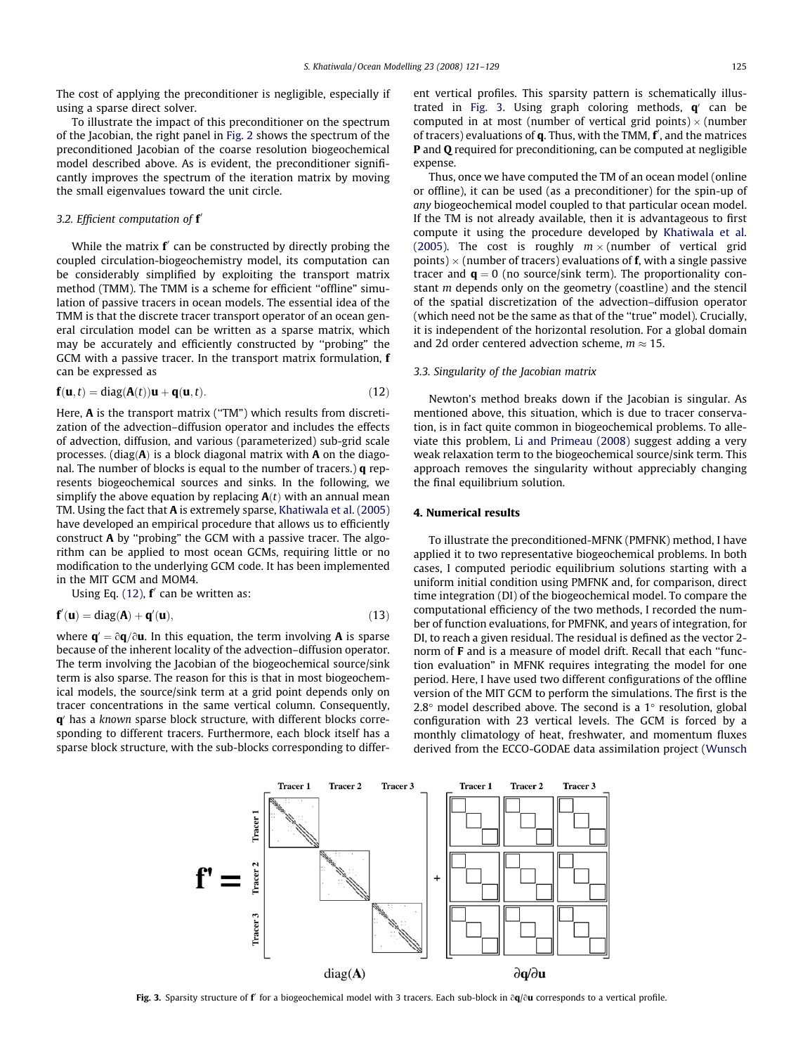<span id="page-4-0"></span>The cost of applying the preconditioner is negligible, especially if using a sparse direct solver.

To illustrate the impact of this preconditioner on the spectrum of the Jacobian, the right panel in [Fig. 2](#page-2-0) shows the spectrum of the preconditioned Jacobian of the coarse resolution biogeochemical model described above. As is evident, the preconditioner significantly improves the spectrum of the iteration matrix by moving the small eigenvalues toward the unit circle.

## 3.2. Efficient computation of  $f'$

While the matrix  $f'$  can be constructed by directly probing the coupled circulation-biogeochemistry model, its computation can be considerably simplified by exploiting the transport matrix method (TMM). The TMM is a scheme for efficient ''offline" simulation of passive tracers in ocean models. The essential idea of the TMM is that the discrete tracer transport operator of an ocean general circulation model can be written as a sparse matrix, which may be accurately and efficiently constructed by ''probing" the GCM with a passive tracer. In the transport matrix formulation, f can be expressed as

$$
\mathbf{f}(\mathbf{u},t) = \text{diag}(\mathbf{A}(t))\mathbf{u} + \mathbf{q}(\mathbf{u},t). \tag{12}
$$

Here, **A** is the transport matrix ("TM") which results from discretization of the advection–diffusion operator and includes the effects of advection, diffusion, and various (parameterized) sub-grid scale processes. (diag $(A)$  is a block diagonal matrix with  $A$  on the diagonal. The number of blocks is equal to the number of tracers.) **q** represents biogeochemical sources and sinks. In the following, we simplify the above equation by replacing  $A(t)$  with an annual mean TM. Using the fact that A is extremely sparse, [Khatiwala et al. \(2005\)](#page-7-0) have developed an empirical procedure that allows us to efficiently construct A by ''probing" the GCM with a passive tracer. The algorithm can be applied to most ocean GCMs, requiring little or no modification to the underlying GCM code. It has been implemented in the MIT GCM and MOM4.

Using Eq.  $(12)$ ,  $f'$  can be written as:

$$
\mathbf{f}'(\mathbf{u}) = \text{diag}(\mathbf{A}) + \mathbf{q}'(\mathbf{u}),\tag{13}
$$

where  $\mathbf{q}' = \partial \mathbf{q}/\partial \mathbf{u}$ . In this equation, the term involving **A** is sparse because of the inherent locality of the advection–diffusion operator. The term involving the Jacobian of the biogeochemical source/sink term is also sparse. The reason for this is that in most biogeochemical models, the source/sink term at a grid point depends only on tracer concentrations in the same vertical column. Consequently,  $q'$  has a known sparse block structure, with different blocks corresponding to different tracers. Furthermore, each block itself has a sparse block structure, with the sub-blocks corresponding to different vertical profiles. This sparsity pattern is schematically illustrated in Fig. 3. Using graph coloring methods,  $q'$  can be computed in at most (number of vertical grid points)  $\times$  (number of tracers) evaluations of  $q$ . Thus, with the TMM,  $f'$ , and the matrices P and Q required for preconditioning, can be computed at negligible expense.

Thus, once we have computed the TM of an ocean model (online or offline), it can be used (as a preconditioner) for the spin-up of any biogeochemical model coupled to that particular ocean model. If the TM is not already available, then it is advantageous to first compute it using the procedure developed by [Khatiwala et al.](#page-7-0) [\(2005\)](#page-7-0). The cost is roughly  $m \times$  (number of vertical grid points)  $\times$  (number of tracers) evaluations of **f**, with a single passive tracer and  $\mathbf{q} = 0$  (no source/sink term). The proportionality constant  $m$  depends only on the geometry (coastline) and the stencil of the spatial discretization of the advection–diffusion operator (which need not be the same as that of the ''true" model). Crucially, it is independent of the horizontal resolution. For a global domain and 2d order centered advection scheme,  $m \approx 15$ .

#### 3.3. Singularity of the Jacobian matrix

Newton's method breaks down if the Jacobian is singular. As mentioned above, this situation, which is due to tracer conservation, is in fact quite common in biogeochemical problems. To alleviate this problem, [Li and Primeau \(2008\)](#page-8-0) suggest adding a very weak relaxation term to the biogeochemical source/sink term. This approach removes the singularity without appreciably changing the final equilibrium solution.

#### 4. Numerical results

To illustrate the preconditioned-MFNK (PMFNK) method, I have applied it to two representative biogeochemical problems. In both cases, I computed periodic equilibrium solutions starting with a uniform initial condition using PMFNK and, for comparison, direct time integration (DI) of the biogeochemical model. To compare the computational efficiency of the two methods, I recorded the number of function evaluations, for PMFNK, and years of integration, for DI, to reach a given residual. The residual is defined as the vector 2 norm of F and is a measure of model drift. Recall that each ''function evaluation" in MFNK requires integrating the model for one period. Here, I have used two different configurations of the offline version of the MIT GCM to perform the simulations. The first is the 2.8 $\degree$  model described above. The second is a 1 $\degree$  resolution, global configuration with 23 vertical levels. The GCM is forced by a monthly climatology of heat, freshwater, and momentum fluxes derived from the ECCO-GODAE data assimilation project ([Wunsch](#page-8-0)



Fig. 3. Sparsity structure of f' for a biogeochemical model with 3 tracers. Each sub-block in  $\partial q/\partial u$  corresponds to a vertical profile.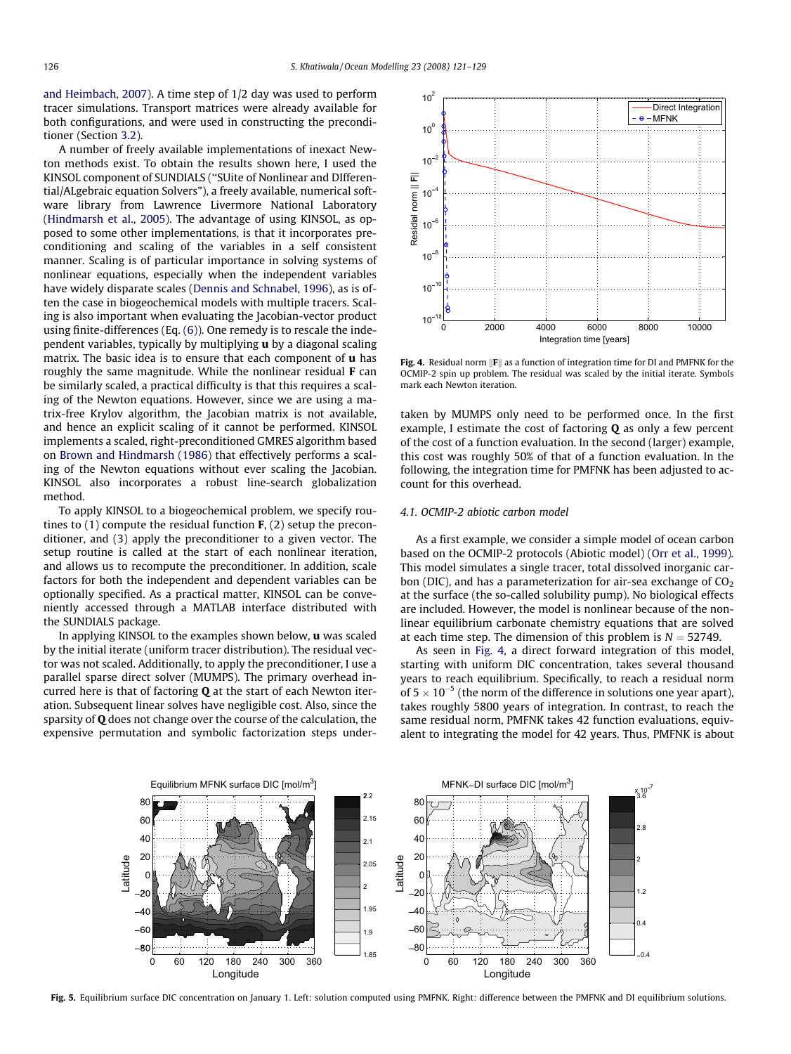<span id="page-5-0"></span>[and Heimbach, 2007\)](#page-8-0). A time step of 1/2 day was used to perform tracer simulations. Transport matrices were already available for both configurations, and were used in constructing the preconditioner (Section [3.2\)](#page-4-0).

A number of freely available implementations of inexact Newton methods exist. To obtain the results shown here, I used the KINSOL component of SUNDIALS (''SUite of Nonlinear and DIfferential/ALgebraic equation Solvers"), a freely available, numerical software library from Lawrence Livermore National Laboratory ([Hindmarsh et al., 2005\)](#page-7-0). The advantage of using KINSOL, as opposed to some other implementations, is that it incorporates preconditioning and scaling of the variables in a self consistent manner. Scaling is of particular importance in solving systems of nonlinear equations, especially when the independent variables have widely disparate scales ([Dennis and Schnabel, 1996](#page-7-0)), as is often the case in biogeochemical models with multiple tracers. Scaling is also important when evaluating the Jacobian-vector product using finite-differences (Eq. [\(6\)\)](#page-2-0). One remedy is to rescale the independent variables, typically by multiplying u by a diagonal scaling matrix. The basic idea is to ensure that each component of u has roughly the same magnitude. While the nonlinear residual F can be similarly scaled, a practical difficulty is that this requires a scaling of the Newton equations. However, since we are using a matrix-free Krylov algorithm, the Jacobian matrix is not available, and hence an explicit scaling of it cannot be performed. KINSOL implements a scaled, right-preconditioned GMRES algorithm based on [Brown and Hindmarsh \(1986\)](#page-7-0) that effectively performs a scaling of the Newton equations without ever scaling the Jacobian. KINSOL also incorporates a robust line-search globalization method.

To apply KINSOL to a biogeochemical problem, we specify routines to  $(1)$  compute the residual function **F**,  $(2)$  setup the preconditioner, and (3) apply the preconditioner to a given vector. The setup routine is called at the start of each nonlinear iteration, and allows us to recompute the preconditioner. In addition, scale factors for both the independent and dependent variables can be optionally specified. As a practical matter, KINSOL can be conveniently accessed through a MATLAB interface distributed with the SUNDIALS package.

In applying KINSOL to the examples shown below, u was scaled by the initial iterate (uniform tracer distribution). The residual vector was not scaled. Additionally, to apply the preconditioner, I use a parallel sparse direct solver (MUMPS). The primary overhead incurred here is that of factoring Q at the start of each Newton iteration. Subsequent linear solves have negligible cost. Also, since the sparsity of  $Q$  does not change over the course of the calculation, the expensive permutation and symbolic factorization steps under-



Fig. 4. Residual norm  $\|F\|$  as a function of integration time for DI and PMFNK for the OCMIP-2 spin up problem. The residual was scaled by the initial iterate. Symbols mark each Newton iteration.

taken by MUMPS only need to be performed once. In the first example, I estimate the cost of factoring  $Q$  as only a few percent of the cost of a function evaluation. In the second (larger) example, this cost was roughly 50% of that of a function evaluation. In the following, the integration time for PMFNK has been adjusted to account for this overhead.

#### 4.1. OCMIP-2 abiotic carbon model

As a first example, we consider a simple model of ocean carbon based on the OCMIP-2 protocols (Abiotic model) ([Orr et al., 1999\)](#page-8-0). This model simulates a single tracer, total dissolved inorganic carbon (DIC), and has a parameterization for air-sea exchange of  $CO<sub>2</sub>$ at the surface (the so-called solubility pump). No biological effects are included. However, the model is nonlinear because of the nonlinear equilibrium carbonate chemistry equations that are solved at each time step. The dimension of this problem is  $N = 52749$ .

As seen in Fig. 4, a direct forward integration of this model, starting with uniform DIC concentration, takes several thousand years to reach equilibrium. Specifically, to reach a residual norm of  $5 \times 10^{-5}$  (the norm of the difference in solutions one year apart), takes roughly 5800 years of integration. In contrast, to reach the same residual norm, PMFNK takes 42 function evaluations, equivalent to integrating the model for 42 years. Thus, PMFNK is about



Fig. 5. Equilibrium surface DIC concentration on January 1. Left: solution computed using PMFNK. Right: difference between the PMFNK and DI equilibrium solutions.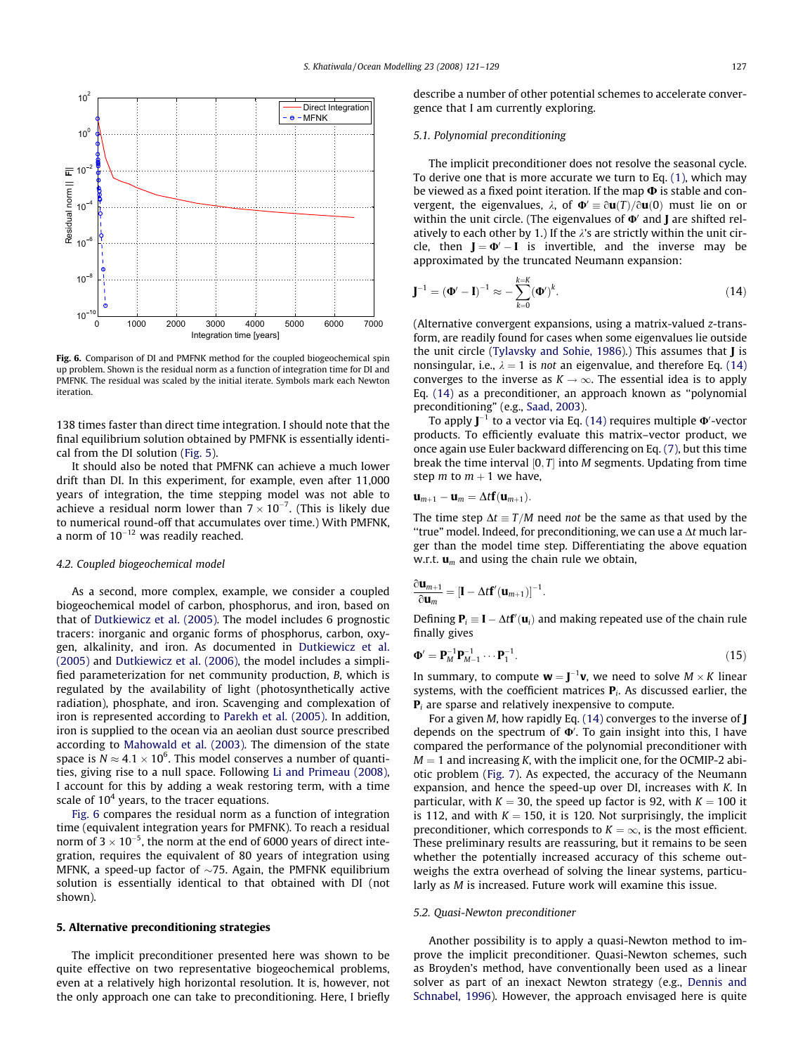

Fig. 6. Comparison of DI and PMFNK method for the coupled biogeochemical spin up problem. Shown is the residual norm as a function of integration time for DI and PMFNK. The residual was scaled by the initial iterate. Symbols mark each Newton iteration.

138 times faster than direct time integration. I should note that the final equilibrium solution obtained by PMFNK is essentially identical from the DI solution [\(Fig. 5\)](#page-5-0).

It should also be noted that PMFNK can achieve a much lower drift than DI. In this experiment, for example, even after 11,000 years of integration, the time stepping model was not able to achieve a residual norm lower than  $7\times10^{-7}$ . (This is likely due to numerical round-off that accumulates over time.) With PMFNK, a norm of  $10^{-12}$  was readily reached.

#### 4.2. Coupled biogeochemical model

As a second, more complex, example, we consider a coupled biogeochemical model of carbon, phosphorus, and iron, based on that of [Dutkiewicz et al. \(2005\)](#page-7-0). The model includes 6 prognostic tracers: inorganic and organic forms of phosphorus, carbon, oxygen, alkalinity, and iron. As documented in [Dutkiewicz et al.](#page-7-0) [\(2005\)](#page-7-0) and [Dutkiewicz et al. \(2006\)](#page-7-0), the model includes a simplified parameterization for net community production, B, which is regulated by the availability of light (photosynthetically active radiation), phosphate, and iron. Scavenging and complexation of iron is represented according to [Parekh et al. \(2005\).](#page-8-0) In addition, iron is supplied to the ocean via an aeolian dust source prescribed according to [Mahowald et al. \(2003\).](#page-8-0) The dimension of the state space is N  $\approx$  4.1  $\times$  10 $^{6}$ . This model conserves a number of quantities, giving rise to a null space. Following [Li and Primeau \(2008\),](#page-8-0) I account for this by adding a weak restoring term, with a time scale of  $10<sup>4</sup>$  years, to the tracer equations.

Fig. 6 compares the residual norm as a function of integration time (equivalent integration years for PMFNK). To reach a residual norm of 3  $\times$  10<sup>-5</sup>, the norm at the end of 6000 years of direct integration, requires the equivalent of 80 years of integration using MFNK, a speed-up factor of  $\sim$ 75. Again, the PMFNK equilibrium solution is essentially identical to that obtained with DI (not shown).

### 5. Alternative preconditioning strategies

The implicit preconditioner presented here was shown to be quite effective on two representative biogeochemical problems, even at a relatively high horizontal resolution. It is, however, not the only approach one can take to preconditioning. Here, I briefly describe a number of other potential schemes to accelerate convergence that I am currently exploring.

#### 5.1. Polynomial preconditioning

The implicit preconditioner does not resolve the seasonal cycle. To derive one that is more accurate we turn to Eq. [\(1\)](#page-1-0), which may be viewed as a fixed point iteration. If the map  $\Phi$  is stable and convergent, the eigenvalues,  $\lambda$ , of  $\Phi' \equiv \partial \mathbf{u}(T)/\partial \mathbf{u}(0)$  must lie on or within the unit circle. (The eigenvalues of  $\Phi'$  and J are shifted relatively to each other by 1.) If the  $\lambda$ 's are strictly within the unit circle, then  $J = \Phi' - I$  is invertible, and the inverse may be approximated by the truncated Neumann expansion:

$$
\mathbf{J}^{-1} = (\mathbf{\Phi}' - \mathbf{I})^{-1} \approx -\sum_{k=0}^{k=K} (\mathbf{\Phi}')^k.
$$
 (14)

(Alternative convergent expansions, using a matrix-valued z-transform, are readily found for cases when some eigenvalues lie outside the unit circle [\(Tylavsky and Sohie, 1986](#page-8-0)).) This assumes that J is nonsingular, i.e.,  $\lambda = 1$  is not an eigenvalue, and therefore Eq. (14) converges to the inverse as  $K \rightarrow \infty$ . The essential idea is to apply Eq. (14) as a preconditioner, an approach known as ''polynomial preconditioning" (e.g., [Saad, 2003](#page-8-0)).

To apply  $\bold{J}^{-1}$  to a vector via Eq. (14) requires multiple  $\boldsymbol{\Phi}'$ -vector products. To efficiently evaluate this matrix–vector product, we once again use Euler backward differencing on Eq. [\(7\),](#page-3-0) but this time break the time interval  $[0, T]$  into M segments. Updating from time step  $m$  to  $m + 1$  we have,

$$
\mathbf{u}_{m+1}-\mathbf{u}_m=\Delta t\mathbf{f}(\mathbf{u}_{m+1}).
$$

The time step  $\Delta t \equiv T/M$  need not be the same as that used by the "true" model. Indeed, for preconditioning, we can use a  $\Delta t$  much larger than the model time step. Differentiating the above equation w.r.t.  $\mathbf{u}_m$  and using the chain rule we obtain,

$$
\frac{\partial \mathbf{u}_{m+1}}{\partial \mathbf{u}_m} = [\mathbf{I} - \Delta t \mathbf{f}'(\mathbf{u}_{m+1})]^{-1}.
$$
  
Defining  $\mathbf{P}_i \equiv \mathbf{I} - \Delta t \mathbf{f}'(\mathbf{u}_i)$  and making repeated use of the chain rule  
finally gives

$$
\Phi' = \mathbf{P}_M^{-1} \mathbf{P}_{M-1}^{-1} \cdots \mathbf{P}_1^{-1}.
$$
\n(15)

In summary, to compute  $\mathbf{w} = \mathbf{J}^{-1} \mathbf{v}$ , we need to solve  $M \times K$  linear systems, with the coefficient matrices  $P_i$ . As discussed earlier, the  $P_i$  are sparse and relatively inexpensive to compute.

For a given M, how rapidly Eq.  $(14)$  converges to the inverse of **J** depends on the spectrum of  $\Phi'$ . To gain insight into this, I have compared the performance of the polynomial preconditioner with  $M = 1$  and increasing K, with the implicit one, for the OCMIP-2 abiotic problem ([Fig. 7](#page-7-0)). As expected, the accuracy of the Neumann expansion, and hence the speed-up over DI, increases with K. In particular, with  $K = 30$ , the speed up factor is 92, with  $K = 100$  it is 112, and with  $K = 150$ , it is 120. Not surprisingly, the implicit preconditioner, which corresponds to  $K = \infty$ , is the most efficient. These preliminary results are reassuring, but it remains to be seen whether the potentially increased accuracy of this scheme outweighs the extra overhead of solving the linear systems, particularly as M is increased. Future work will examine this issue.

#### 5.2. Quasi-Newton preconditioner

Another possibility is to apply a quasi-Newton method to improve the implicit preconditioner. Quasi-Newton schemes, such as Broyden's method, have conventionally been used as a linear solver as part of an inexact Newton strategy (e.g., [Dennis and](#page-7-0) [Schnabel, 1996\)](#page-7-0). However, the approach envisaged here is quite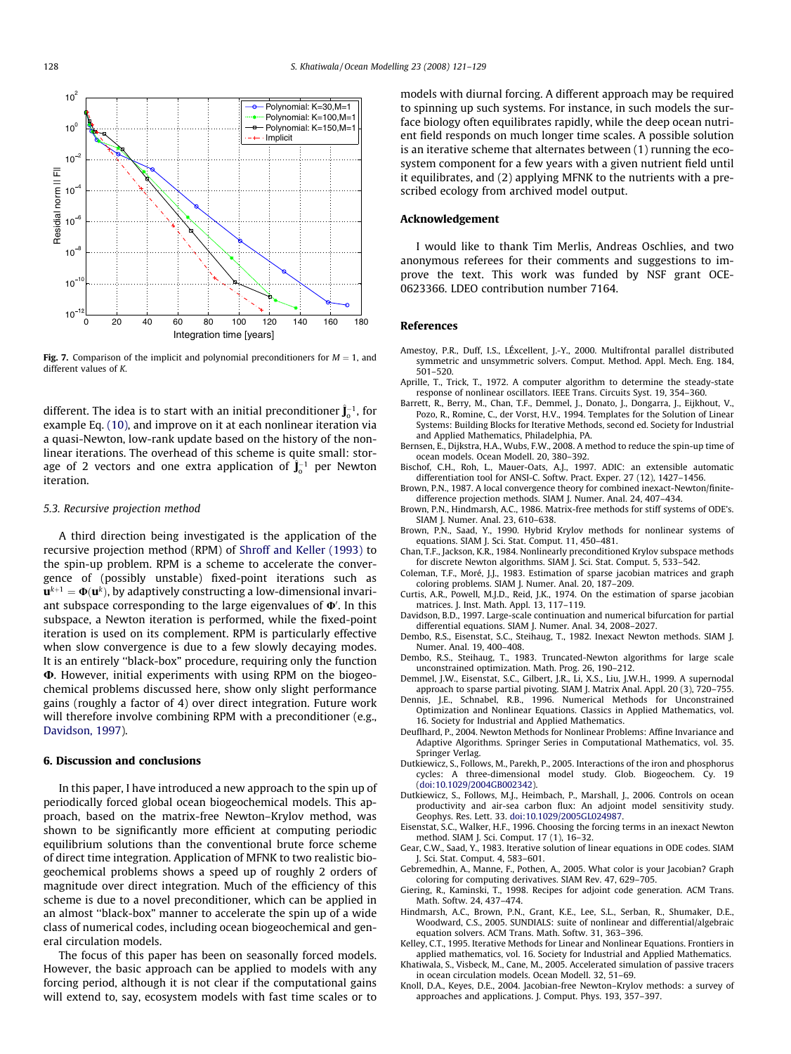<span id="page-7-0"></span>

Fig. 7. Comparison of the implicit and polynomial preconditioners for  $M = 1$ , and different values of K.

different. The idea is to start with an initial preconditioner  $\hat{\mathbf{J}}_\text{o}^{-1}$ , for example Eq. [\(10\)](#page-3-0), and improve on it at each nonlinear iteration via a quasi-Newton, low-rank update based on the history of the nonlinear iterations. The overhead of this scheme is quite small: storage of 2 vectors and one extra application of  $\hat{\mathbf{J}}_0^{-1}$  per Newton iteration.

#### 5.3. Recursive projection method

A third direction being investigated is the application of the recursive projection method (RPM) of [Shroff and Keller \(1993\)](#page-8-0) to the spin-up problem. RPM is a scheme to accelerate the convergence of (possibly unstable) fixed-point iterations such as  $\mathbf{u}^{k+1} = \mathbf{\Phi}(\mathbf{u}^k)$ , by adaptively constructing a low-dimensional invariant subspace corresponding to the large eigenvalues of  $\Phi'$ . In this subspace, a Newton iteration is performed, while the fixed-point iteration is used on its complement. RPM is particularly effective when slow convergence is due to a few slowly decaying modes. It is an entirely ''black-box" procedure, requiring only the function  $\Phi$ . However, initial experiments with using RPM on the biogeochemical problems discussed here, show only slight performance gains (roughly a factor of 4) over direct integration. Future work will therefore involve combining RPM with a preconditioner (e.g., Davidson, 1997).

## 6. Discussion and conclusions

In this paper, I have introduced a new approach to the spin up of periodically forced global ocean biogeochemical models. This approach, based on the matrix-free Newton–Krylov method, was shown to be significantly more efficient at computing periodic equilibrium solutions than the conventional brute force scheme of direct time integration. Application of MFNK to two realistic biogeochemical problems shows a speed up of roughly 2 orders of magnitude over direct integration. Much of the efficiency of this scheme is due to a novel preconditioner, which can be applied in an almost ''black-box" manner to accelerate the spin up of a wide class of numerical codes, including ocean biogeochemical and general circulation models.

The focus of this paper has been on seasonally forced models. However, the basic approach can be applied to models with any forcing period, although it is not clear if the computational gains will extend to, say, ecosystem models with fast time scales or to models with diurnal forcing. A different approach may be required to spinning up such systems. For instance, in such models the surface biology often equilibrates rapidly, while the deep ocean nutrient field responds on much longer time scales. A possible solution is an iterative scheme that alternates between (1) running the ecosystem component for a few years with a given nutrient field until it equilibrates, and (2) applying MFNK to the nutrients with a prescribed ecology from archived model output.

## Acknowledgement

I would like to thank Tim Merlis, Andreas Oschlies, and two anonymous referees for their comments and suggestions to improve the text. This work was funded by NSF grant OCE-0623366. LDEO contribution number 7164.

## References

- Amestoy, P.R., Duff, I.S., LÉxcellent, J.-Y., 2000. Multifrontal parallel distributed symmetric and unsymmetric solvers. Comput. Method. Appl. Mech. Eng. 184, 501–520.
- Aprille, T., Trick, T., 1972. A computer algorithm to determine the steady-state response of nonlinear oscillators. IEEE Trans. Circuits Syst. 19, 354–360.
- Barrett, R., Berry, M., Chan, T.F., Demmel, J., Donato, J., Dongarra, J., Eijkhout, V., Pozo, R., Romine, C., der Vorst, H.V., 1994. Templates for the Solution of Linear Systems: Building Blocks for Iterative Methods, second ed. Society for Industrial and Applied Mathematics, Philadelphia, PA.
- Bernsen, E., Dijkstra, H.A., Wubs, F.W., 2008. A method to reduce the spin-up time of ocean models. Ocean Modell. 20, 380–392.
- Bischof, C.H., Roh, L., Mauer-Oats, A.J., 1997. ADIC: an extensible automatic differentiation tool for ANSI-C. Softw. Pract. Exper. 27 (12), 1427–1456.
- Brown, P.N., 1987. A local convergence theory for combined inexact-Newton/finitedifference projection methods. SIAM J. Numer. Anal. 24, 407–434.
- Brown, P.N., Hindmarsh, A.C., 1986. Matrix-free methods for stiff systems of ODE's. SIAM J. Numer. Anal. 23, 610–638.
- Brown, P.N., Saad, Y., 1990. Hybrid Krylov methods for nonlinear systems of equations. SIAM J. Sci. Stat. Comput. 11, 450–481.
- Chan, T.F., Jackson, K.R., 1984. Nonlinearly preconditioned Krylov subspace methods for discrete Newton algorithms. SIAM J. Sci. Stat. Comput. 5, 533–542.
- Coleman, T.F., Moré, J.J., 1983. Estimation of sparse jacobian matrices and graph coloring problems. SIAM J. Numer. Anal. 20, 187–209.
- Curtis, A.R., Powell, M.J.D., Reid, J.K., 1974. On the estimation of sparse jacobian matrices. J. Inst. Math. Appl. 13, 117–119.
- Davidson, B.D., 1997. Large-scale continuation and numerical bifurcation for partial differential equations. SIAM J. Numer. Anal. 34, 2008–2027.
- Dembo, R.S., Eisenstat, S.C., Steihaug, T., 1982. Inexact Newton methods. SIAM J. Numer. Anal. 19, 400–408.
- Dembo, R.S., Steihaug, T., 1983. Truncated-Newton algorithms for large scale unconstrained optimization. Math. Prog. 26, 190–212. Demmel, J.W., Eisenstat, S.C., Gilbert, J.R., Li, X.S., Liu, J.W.H., 1999. A supernodal
- 
- approach to sparse partial pivoting. SIAM J. Matrix Anal. Appl. 20 (3), 720–755. Dennis, J.E., Schnabel, R.B., 1996. Numerical Methods for Unconstrained Optimization and Nonlinear Equations. Classics in Applied Mathematics, vol. 16. Society for Industrial and Applied Mathematics.
- Deuflhard, P., 2004. Newton Methods for Nonlinear Problems: Affine Invariance and Adaptive Algorithms. Springer Series in Computational Mathematics, vol. 35. Springer Verlag.
- Dutkiewicz, S., Follows, M., Parekh, P., 2005. Interactions of the iron and phosphorus cycles: A three-dimensional model study. Glob. Biogeochem. Cy. 19 [\(doi:10.1029/2004GB002342](http://dx.doi.org/10.1029/2004GB002342)).
- Dutkiewicz, S., Follows, M.J., Heimbach, P., Marshall, J., 2006. Controls on ocean productivity and air-sea carbon flux: An adjoint model sensitivity study. Geophys. Res. Lett. 33. [doi:10.1029/2005GL024987.](http://dx.doi.org/10.1029/2005GL024987)
- Eisenstat, S.C., Walker, H.F., 1996. Choosing the forcing terms in an inexact Newton method. SIAM J. Sci. Comput. 17 (1), 16–32.
- Gear, C.W., Saad, Y., 1983. Iterative solution of linear equations in ODE codes. SIAM J. Sci. Stat. Comput. 4, 583–601.
- Gebremedhin, A., Manne, F., Pothen, A., 2005. What color is your Jacobian? Graph coloring for computing derivatives. SIAM Rev. 47, 629–705.
- Giering, R., Kaminski, T., 1998. Recipes for adjoint code generation. ACM Trans. Math. Softw. 24, 437–474.
- Hindmarsh, A.C., Brown, P.N., Grant, K.E., Lee, S.L., Serban, R., Shumaker, D.E., Woodward, C.S., 2005. SUNDIALS: suite of nonlinear and differential/algebraic equation solvers. ACM Trans. Math. Softw. 31, 363–396.
- Kelley, C.T., 1995. Iterative Methods for Linear and Nonlinear Equations. Frontiers in applied mathematics, vol. 16. Society for Industrial and Applied Mathematics.
- Khatiwala, S., Visbeck, M., Cane, M., 2005. Accelerated simulation of passive tracers in ocean circulation models. Ocean Modell. 32, 51–69.
- Knoll, D.A., Keyes, D.E., 2004. Jacobian-free Newton–Krylov methods: a survey of approaches and applications. J. Comput. Phys. 193, 357–397.